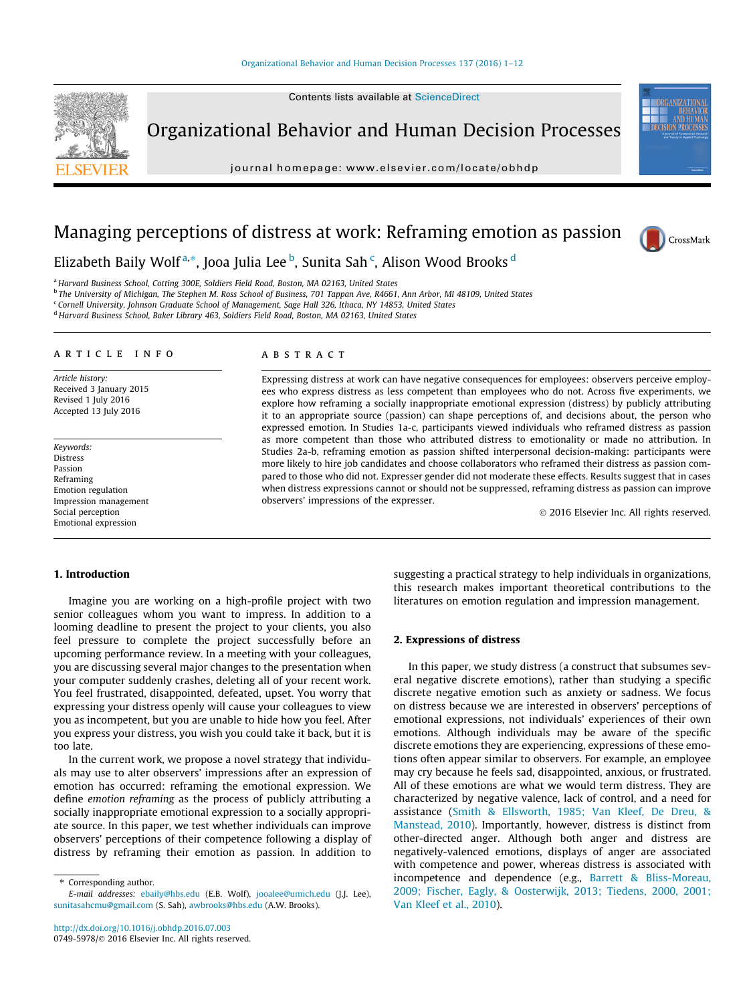Contents lists available at [ScienceDirect](http://www.sciencedirect.com/science/journal/07495978)



Organizational Behavior and Human Decision Processes

journal homepage: [www.elsevier.com/locate/obhdp](http://www.elsevier.com/locate/obhdp)

# Managing perceptions of distress at work: Reframing emotion as passion



Elizabeth Baily Wolf<sup>a,</sup>\*, Jooa Julia Lee <sup>b</sup>, Sunita Sah <sup>c</sup>, Alison Wood Brooks <sup>d</sup>

<sup>a</sup> Harvard Business School, Cotting 300E, Soldiers Field Road, Boston, MA 02163, United States

<sup>b</sup> The University of Michigan, The Stephen M. Ross School of Business, 701 Tappan Ave, R4661, Ann Arbor, MI 48109, United States

<sup>c</sup> Cornell University, Johnson Graduate School of Management, Sage Hall 326, Ithaca, NY 14853, United States

<sup>d</sup> Harvard Business School, Baker Library 463, Soldiers Field Road, Boston, MA 02163, United States

## article info

Article history: Received 3 January 2015 Revised 1 July 2016 Accepted 13 July 2016

Keywords: Distress Passion Reframing Emotion regulation Impression management Social perception Emotional expression

#### **ABSTRACT**

Expressing distress at work can have negative consequences for employees: observers perceive employees who express distress as less competent than employees who do not. Across five experiments, we explore how reframing a socially inappropriate emotional expression (distress) by publicly attributing it to an appropriate source (passion) can shape perceptions of, and decisions about, the person who expressed emotion. In Studies 1a-c, participants viewed individuals who reframed distress as passion as more competent than those who attributed distress to emotionality or made no attribution. In Studies 2a-b, reframing emotion as passion shifted interpersonal decision-making: participants were more likely to hire job candidates and choose collaborators who reframed their distress as passion compared to those who did not. Expresser gender did not moderate these effects. Results suggest that in cases when distress expressions cannot or should not be suppressed, reframing distress as passion can improve observers' impressions of the expresser.

2016 Elsevier Inc. All rights reserved.

# 1. Introduction

Imagine you are working on a high-profile project with two senior colleagues whom you want to impress. In addition to a looming deadline to present the project to your clients, you also feel pressure to complete the project successfully before an upcoming performance review. In a meeting with your colleagues, you are discussing several major changes to the presentation when your computer suddenly crashes, deleting all of your recent work. You feel frustrated, disappointed, defeated, upset. You worry that expressing your distress openly will cause your colleagues to view you as incompetent, but you are unable to hide how you feel. After you express your distress, you wish you could take it back, but it is too late.

In the current work, we propose a novel strategy that individuals may use to alter observers' impressions after an expression of emotion has occurred: reframing the emotional expression. We define emotion reframing as the process of publicly attributing a socially inappropriate emotional expression to a socially appropriate source. In this paper, we test whether individuals can improve observers' perceptions of their competence following a display of distress by reframing their emotion as passion. In addition to

suggesting a practical strategy to help individuals in organizations, this research makes important theoretical contributions to the literatures on emotion regulation and impression management.

## 2. Expressions of distress

In this paper, we study distress (a construct that subsumes several negative discrete emotions), rather than studying a specific discrete negative emotion such as anxiety or sadness. We focus on distress because we are interested in observers' perceptions of emotional expressions, not individuals' experiences of their own emotions. Although individuals may be aware of the specific discrete emotions they are experiencing, expressions of these emotions often appear similar to observers. For example, an employee may cry because he feels sad, disappointed, anxious, or frustrated. All of these emotions are what we would term distress. They are characterized by negative valence, lack of control, and a need for assistance [\(Smith & Ellsworth, 1985; Van Kleef, De Dreu, &](#page-11-0) [Manstead, 2010\)](#page-11-0). Importantly, however, distress is distinct from other-directed anger. Although both anger and distress are negatively-valenced emotions, displays of anger are associated with competence and power, whereas distress is associated with incompetence and dependence (e.g., [Barrett & Bliss-Moreau,](#page-10-0) [2009; Fischer, Eagly, & Oosterwijk, 2013; Tiedens, 2000, 2001;](#page-10-0) [Van Kleef et al., 2010](#page-10-0)).

<sup>\*</sup> Corresponding author.

E-mail addresses: [ebaily@hbs.edu](mailto:ebaily@hbs.edu) (E.B. Wolf), [jooalee@umich.edu](mailto:jooalee@umich.edu) (J.J. Lee), [sunitasahcmu@gmail.com](mailto:sunitasahcmu@gmail.com) (S. Sah), [awbrooks@hbs.edu](mailto:awbrooks@hbs.edu) (A.W. Brooks).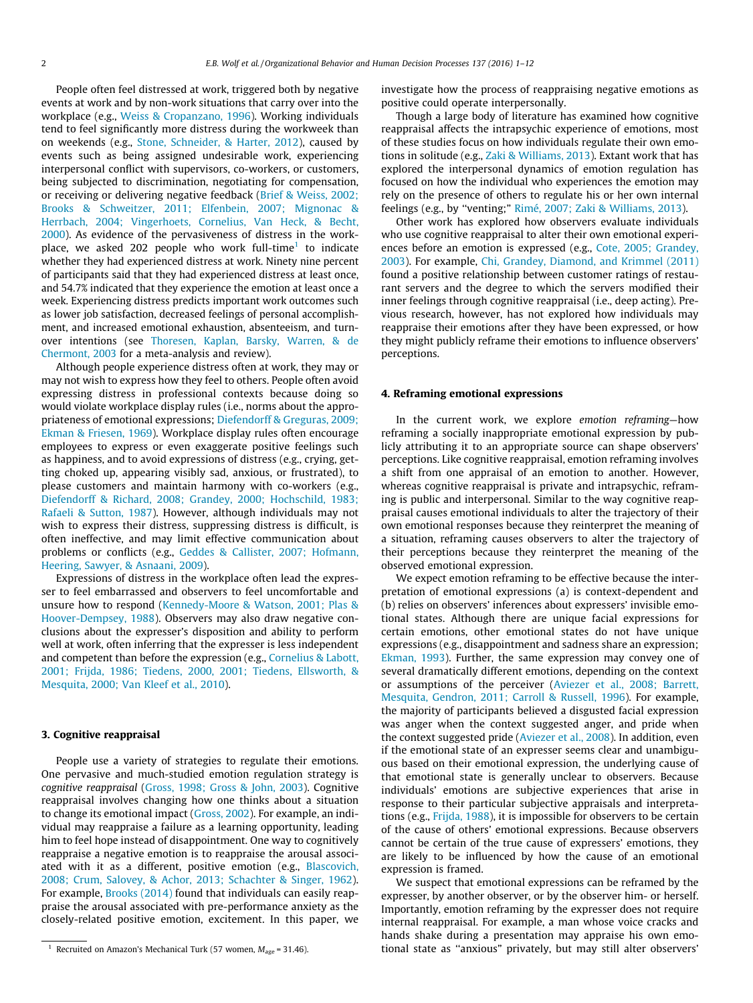People often feel distressed at work, triggered both by negative events at work and by non-work situations that carry over into the workplace (e.g., [Weiss & Cropanzano, 1996](#page-11-0)). Working individuals tend to feel significantly more distress during the workweek than on weekends (e.g., [Stone, Schneider, & Harter, 2012](#page-11-0)), caused by events such as being assigned undesirable work, experiencing interpersonal conflict with supervisors, co-workers, or customers, being subjected to discrimination, negotiating for compensation, or receiving or delivering negative feedback ([Brief & Weiss, 2002;](#page-10-0) [Brooks & Schweitzer, 2011; Elfenbein, 2007; Mignonac &](#page-10-0) [Herrbach, 2004; Vingerhoets, Cornelius, Van Heck, & Becht,](#page-10-0) [2000\)](#page-10-0). As evidence of the pervasiveness of distress in the workplace, we asked 202 people who work full-time<sup>1</sup> to indicate whether they had experienced distress at work. Ninety nine percent of participants said that they had experienced distress at least once, and 54.7% indicated that they experience the emotion at least once a week. Experiencing distress predicts important work outcomes such as lower job satisfaction, decreased feelings of personal accomplishment, and increased emotional exhaustion, absenteeism, and turnover intentions (see [Thoresen, Kaplan, Barsky, Warren, & de](#page-11-0) [Chermont, 2003](#page-11-0) for a meta-analysis and review).

Although people experience distress often at work, they may or may not wish to express how they feel to others. People often avoid expressing distress in professional contexts because doing so would violate workplace display rules (i.e., norms about the appropriateness of emotional expressions; [Diefendorff & Greguras, 2009;](#page-10-0) [Ekman & Friesen, 1969](#page-10-0)). Workplace display rules often encourage employees to express or even exaggerate positive feelings such as happiness, and to avoid expressions of distress (e.g., crying, getting choked up, appearing visibly sad, anxious, or frustrated), to please customers and maintain harmony with co-workers (e.g., [Diefendorff & Richard, 2008; Grandey, 2000; Hochschild, 1983;](#page-10-0) [Rafaeli & Sutton, 1987\)](#page-10-0). However, although individuals may not wish to express their distress, suppressing distress is difficult, is often ineffective, and may limit effective communication about problems or conflicts (e.g., [Geddes & Callister, 2007; Hofmann,](#page-10-0) [Heering, Sawyer, & Asnaani, 2009\)](#page-10-0).

Expressions of distress in the workplace often lead the expresser to feel embarrassed and observers to feel uncomfortable and unsure how to respond ([Kennedy-Moore & Watson, 2001; Plas &](#page-10-0) [Hoover-Dempsey, 1988](#page-10-0)). Observers may also draw negative conclusions about the expresser's disposition and ability to perform well at work, often inferring that the expresser is less independent and competent than before the expression (e.g., [Cornelius & Labott,](#page-10-0) [2001; Frijda, 1986; Tiedens, 2000, 2001; Tiedens, Ellsworth, &](#page-10-0) [Mesquita, 2000; Van Kleef et al., 2010\)](#page-10-0).

## 3. Cognitive reappraisal

People use a variety of strategies to regulate their emotions. One pervasive and much-studied emotion regulation strategy is cognitive reappraisal ([Gross, 1998; Gross & John, 2003](#page-10-0)). Cognitive reappraisal involves changing how one thinks about a situation to change its emotional impact ([Gross, 2002](#page-10-0)). For example, an individual may reappraise a failure as a learning opportunity, leading him to feel hope instead of disappointment. One way to cognitively reappraise a negative emotion is to reappraise the arousal associ-ated with it as a different, positive emotion (e.g., [Blascovich,](#page-10-0) [2008; Crum, Salovey, & Achor, 2013; Schachter & Singer, 1962\)](#page-10-0). For example, [Brooks \(2014\)](#page-10-0) found that individuals can easily reappraise the arousal associated with pre-performance anxiety as the closely-related positive emotion, excitement. In this paper, we

investigate how the process of reappraising negative emotions as positive could operate interpersonally.

Though a large body of literature has examined how cognitive reappraisal affects the intrapsychic experience of emotions, most of these studies focus on how individuals regulate their own emotions in solitude (e.g., [Zaki & Williams, 2013](#page-11-0)). Extant work that has explored the interpersonal dynamics of emotion regulation has focused on how the individual who experiences the emotion may rely on the presence of others to regulate his or her own internal feelings (e.g., by ''venting;" [Rimé, 2007; Zaki & Williams, 2013\)](#page-11-0).

Other work has explored how observers evaluate individuals who use cognitive reappraisal to alter their own emotional experiences before an emotion is expressed (e.g., [Cote, 2005; Grandey,](#page-10-0) [2003\)](#page-10-0). For example, [Chi, Grandey, Diamond, and Krimmel \(2011\)](#page-10-0) found a positive relationship between customer ratings of restaurant servers and the degree to which the servers modified their inner feelings through cognitive reappraisal (i.e., deep acting). Previous research, however, has not explored how individuals may reappraise their emotions after they have been expressed, or how they might publicly reframe their emotions to influence observers' perceptions.

## 4. Reframing emotional expressions

In the current work, we explore emotion reframing—how reframing a socially inappropriate emotional expression by publicly attributing it to an appropriate source can shape observers' perceptions. Like cognitive reappraisal, emotion reframing involves a shift from one appraisal of an emotion to another. However, whereas cognitive reappraisal is private and intrapsychic, reframing is public and interpersonal. Similar to the way cognitive reappraisal causes emotional individuals to alter the trajectory of their own emotional responses because they reinterpret the meaning of a situation, reframing causes observers to alter the trajectory of their perceptions because they reinterpret the meaning of the observed emotional expression.

We expect emotion reframing to be effective because the interpretation of emotional expressions (a) is context-dependent and (b) relies on observers' inferences about expressers' invisible emotional states. Although there are unique facial expressions for certain emotions, other emotional states do not have unique expressions (e.g., disappointment and sadness share an expression; [Ekman, 1993](#page-10-0)). Further, the same expression may convey one of several dramatically different emotions, depending on the context or assumptions of the perceiver [\(Aviezer et al., 2008; Barrett,](#page-10-0) [Mesquita, Gendron, 2011; Carroll & Russell, 1996\)](#page-10-0). For example, the majority of participants believed a disgusted facial expression was anger when the context suggested anger, and pride when the context suggested pride [\(Aviezer et al., 2008\)](#page-10-0). In addition, even if the emotional state of an expresser seems clear and unambiguous based on their emotional expression, the underlying cause of that emotional state is generally unclear to observers. Because individuals' emotions are subjective experiences that arise in response to their particular subjective appraisals and interpretations (e.g., [Frijda, 1988](#page-10-0)), it is impossible for observers to be certain of the cause of others' emotional expressions. Because observers cannot be certain of the true cause of expressers' emotions, they are likely to be influenced by how the cause of an emotional expression is framed.

We suspect that emotional expressions can be reframed by the expresser, by another observer, or by the observer him- or herself. Importantly, emotion reframing by the expresser does not require internal reappraisal. For example, a man whose voice cracks and hands shake during a presentation may appraise his own emo-<sup>1</sup> Recruited on Amazon's Mechanical Turk (57 women,  $M_{\text{age}} = 31.46$ ). **12.1 total state as "anxious" privately, but may still alter observers'**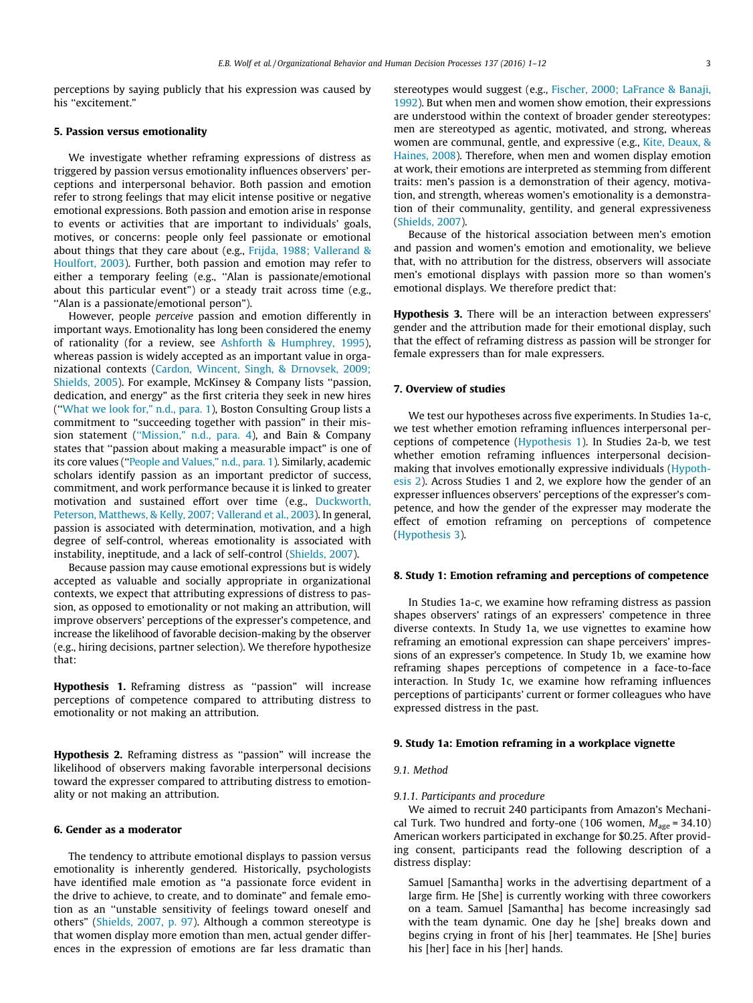<span id="page-2-0"></span>perceptions by saying publicly that his expression was caused by his ''excitement."

## 5. Passion versus emotionality

We investigate whether reframing expressions of distress as triggered by passion versus emotionality influences observers' perceptions and interpersonal behavior. Both passion and emotion refer to strong feelings that may elicit intense positive or negative emotional expressions. Both passion and emotion arise in response to events or activities that are important to individuals' goals, motives, or concerns: people only feel passionate or emotional about things that they care about (e.g., [Frijda, 1988; Vallerand &](#page-10-0) [Houlfort, 2003](#page-10-0)). Further, both passion and emotion may refer to either a temporary feeling (e.g., ''Alan is passionate/emotional about this particular event") or a steady trait across time (e.g., ''Alan is a passionate/emotional person").

However, people perceive passion and emotion differently in important ways. Emotionality has long been considered the enemy of rationality (for a review, see [Ashforth & Humphrey, 1995\)](#page-10-0), whereas passion is widely accepted as an important value in organizational contexts [\(Cardon, Wincent, Singh, & Drnovsek, 2009;](#page-10-0) [Shields, 2005](#page-10-0)). For example, McKinsey & Company lists ''passion, dedication, and energy" as the first criteria they seek in new hires ('['What we look for," n.d., para. 1](#page-11-0)), Boston Consulting Group lists a commitment to ''succeeding together with passion" in their mission statement [\(''Mission,](#page-11-0)" [n.d., para. 4](#page-11-0)), and Bain & Company states that ''passion about making a measurable impact" is one of its core values ('['People and Values," n.d., para. 1](#page-11-0)). Similarly, academic scholars identify passion as an important predictor of success, commitment, and work performance because it is linked to greater motivation and sustained effort over time (e.g., [Duckworth,](#page-10-0) [Peterson, Matthews, & Kelly, 2007; Vallerand et al., 2003\)](#page-10-0). In general, passion is associated with determination, motivation, and a high degree of self-control, whereas emotionality is associated with instability, ineptitude, and a lack of self-control [\(Shields, 2007](#page-11-0)).

Because passion may cause emotional expressions but is widely accepted as valuable and socially appropriate in organizational contexts, we expect that attributing expressions of distress to passion, as opposed to emotionality or not making an attribution, will improve observers' perceptions of the expresser's competence, and increase the likelihood of favorable decision-making by the observer (e.g., hiring decisions, partner selection). We therefore hypothesize that:

Hypothesis 1. Reframing distress as "passion" will increase perceptions of competence compared to attributing distress to emotionality or not making an attribution.

Hypothesis 2. Reframing distress as ''passion" will increase the likelihood of observers making favorable interpersonal decisions toward the expresser compared to attributing distress to emotionality or not making an attribution.

## 6. Gender as a moderator

The tendency to attribute emotional displays to passion versus emotionality is inherently gendered. Historically, psychologists have identified male emotion as ''a passionate force evident in the drive to achieve, to create, and to dominate" and female emotion as an ''unstable sensitivity of feelings toward oneself and others" [\(Shields, 2007, p. 97\)](#page-11-0). Although a common stereotype is that women display more emotion than men, actual gender differences in the expression of emotions are far less dramatic than

stereotypes would suggest (e.g., [Fischer, 2000; LaFrance & Banaji,](#page-10-0) [1992\)](#page-10-0). But when men and women show emotion, their expressions are understood within the context of broader gender stereotypes: men are stereotyped as agentic, motivated, and strong, whereas women are communal, gentle, and expressive (e.g., [Kite, Deaux, &](#page-10-0) [Haines, 2008\)](#page-10-0). Therefore, when men and women display emotion at work, their emotions are interpreted as stemming from different traits: men's passion is a demonstration of their agency, motivation, and strength, whereas women's emotionality is a demonstration of their communality, gentility, and general expressiveness ([Shields, 2007\)](#page-11-0).

Because of the historical association between men's emotion and passion and women's emotion and emotionality, we believe that, with no attribution for the distress, observers will associate men's emotional displays with passion more so than women's emotional displays. We therefore predict that:

Hypothesis 3. There will be an interaction between expressers' gender and the attribution made for their emotional display, such that the effect of reframing distress as passion will be stronger for female expressers than for male expressers.

# 7. Overview of studies

We test our hypotheses across five experiments. In Studies 1a-c, we test whether emotion reframing influences interpersonal perceptions of competence (Hypothesis 1). In Studies 2a-b, we test whether emotion reframing influences interpersonal decisionmaking that involves emotionally expressive individuals (Hypothesis 2). Across Studies 1 and 2, we explore how the gender of an expresser influences observers' perceptions of the expresser's competence, and how the gender of the expresser may moderate the effect of emotion reframing on perceptions of competence (Hypothesis 3).

## 8. Study 1: Emotion reframing and perceptions of competence

In Studies 1a-c, we examine how reframing distress as passion shapes observers' ratings of an expressers' competence in three diverse contexts. In Study 1a, we use vignettes to examine how reframing an emotional expression can shape perceivers' impressions of an expresser's competence. In Study 1b, we examine how reframing shapes perceptions of competence in a face-to-face interaction. In Study 1c, we examine how reframing influences perceptions of participants' current or former colleagues who have expressed distress in the past.

## 9. Study 1a: Emotion reframing in a workplace vignette

## 9.1. Method

## 9.1.1. Participants and procedure

We aimed to recruit 240 participants from Amazon's Mechanical Turk. Two hundred and forty-one (106 women,  $M_{\text{age}} = 34.10$ ) American workers participated in exchange for \$0.25. After providing consent, participants read the following description of a distress display:

Samuel [Samantha] works in the advertising department of a large firm. He [She] is currently working with three coworkers on a team. Samuel [Samantha] has become increasingly sad with the team dynamic. One day he [she] breaks down and begins crying in front of his [her] teammates. He [She] buries his [her] face in his [her] hands.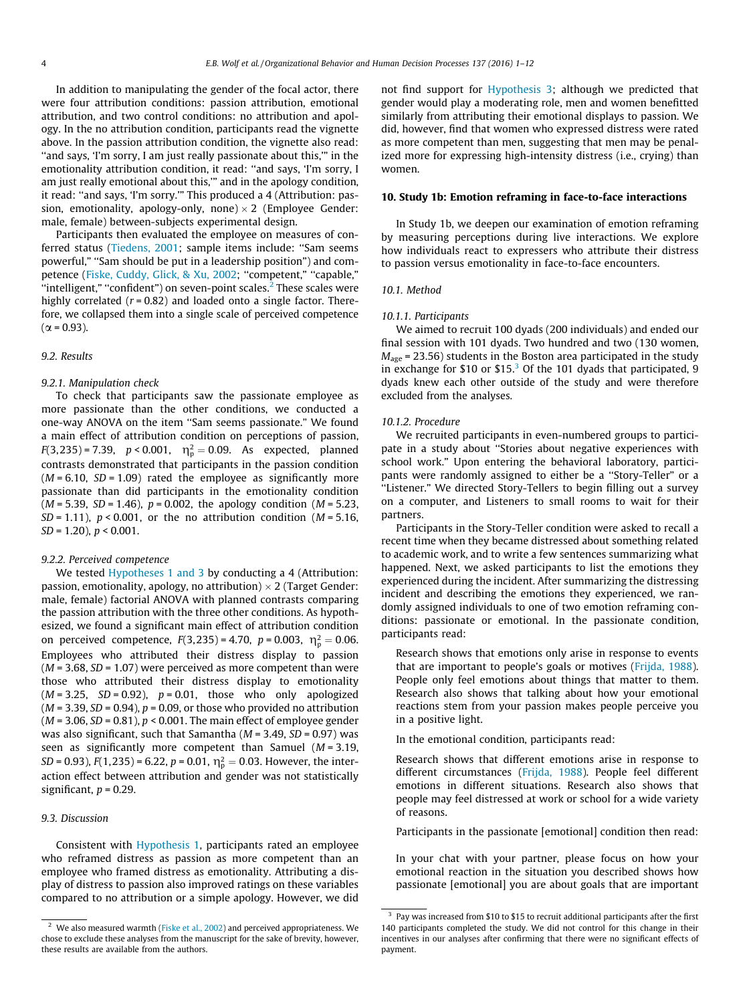In addition to manipulating the gender of the focal actor, there were four attribution conditions: passion attribution, emotional attribution, and two control conditions: no attribution and apology. In the no attribution condition, participants read the vignette above. In the passion attribution condition, the vignette also read: ''and says, 'I'm sorry, I am just really passionate about this,'" in the emotionality attribution condition, it read: ''and says, 'I'm sorry, I am just really emotional about this,'" and in the apology condition, it read: ''and says, 'I'm sorry.'" This produced a 4 (Attribution: passion, emotionality, apology-only, none)  $\times$  2 (Employee Gender: male, female) between-subjects experimental design.

Participants then evaluated the employee on measures of conferred status [\(Tiedens, 2001](#page-11-0); sample items include: ''Sam seems powerful," ''Sam should be put in a leadership position") and com-petence [\(Fiske, Cuddy, Glick, & Xu, 2002](#page-10-0); "competent," "capable," "intelligent," "confident") on seven-point scales.<sup>2</sup> These scales were highly correlated  $(r = 0.82)$  and loaded onto a single factor. Therefore, we collapsed them into a single scale of perceived competence  $(\alpha = 0.93)$ .

#### 9.2. Results

## 9.2.1. Manipulation check

To check that participants saw the passionate employee as more passionate than the other conditions, we conducted a one-way ANOVA on the item ''Sam seems passionate." We found a main effect of attribution condition on perceptions of passion,  $F(3,235)$  = 7.39,  $p < 0.001$ ,  $\eta_p^2 = 0.09$ . As expected, planned<br>contrasts demonstrated that participants in the passion condition contrasts demonstrated that participants in the passion condition  $(M = 6.10, SD = 1.09)$  rated the employee as significantly more passionate than did participants in the emotionality condition  $(M = 5.39, SD = 1.46), p = 0.002$ , the apology condition  $(M = 5.23,$  $SD = 1.11$ ),  $p < 0.001$ , or the no attribution condition ( $M = 5.16$ ,  $SD = 1.20$ ),  $p < 0.001$ .

## 9.2.2. Perceived competence

We tested [Hypotheses 1 and 3](#page-2-0) by conducting a 4 (Attribution: passion, emotionality, apology, no attribution)  $\times$  2 (Target Gender: male, female) factorial ANOVA with planned contrasts comparing the passion attribution with the three other conditions. As hypothesized, we found a significant main effect of attribution condition on perceived competence,  $F(3,235) = 4.70$ ,  $p = 0.003$ ,  $\eta_p^2 = 0.06$ .<br>Employees who attributed their distress display to passion Employees who attributed their distress display to passion  $(M = 3.68, SD = 1.07)$  were perceived as more competent than were those who attributed their distress display to emotionality  $(M = 3.25, SD = 0.92)$ ,  $p = 0.01$ , those who only apologized  $(M = 3.39, SD = 0.94)$ ,  $p = 0.09$ , or those who provided no attribution  $(M = 3.06, SD = 0.81)$ ,  $p < 0.001$ . The main effect of employee gender was also significant, such that Samantha ( $M = 3.49$ ,  $SD = 0.97$ ) was seen as significantly more competent than Samuel ( $M = 3.19$ ,  $SD = 0.93$ ),  $F(1,235) = 6.22$ ,  $p = 0.01$ ,  $\eta_p^2 = 0.03$ . However, the inter-<br>action effect between attribution and gender was not statistically action effect between attribution and gender was not statistically significant,  $p = 0.29$ .

## 9.3. Discussion

Consistent with [Hypothesis 1](#page-2-0), participants rated an employee who reframed distress as passion as more competent than an employee who framed distress as emotionality. Attributing a display of distress to passion also improved ratings on these variables compared to no attribution or a simple apology. However, we did

not find support for [Hypothesis 3](#page-2-0); although we predicted that gender would play a moderating role, men and women benefitted similarly from attributing their emotional displays to passion. We did, however, find that women who expressed distress were rated as more competent than men, suggesting that men may be penalized more for expressing high-intensity distress (i.e., crying) than women.

# 10. Study 1b: Emotion reframing in face-to-face interactions

In Study 1b, we deepen our examination of emotion reframing by measuring perceptions during live interactions. We explore how individuals react to expressers who attribute their distress to passion versus emotionality in face-to-face encounters.

#### 10.1. Method

#### 10.1.1. Participants

We aimed to recruit 100 dyads (200 individuals) and ended our final session with 101 dyads. Two hundred and two (130 women,  $M<sub>age</sub>$  = 23.56) students in the Boston area participated in the study in exchange for  $$10$  or  $$15.<sup>3</sup>$  Of the 101 dyads that participated, 9 dyads knew each other outside of the study and were therefore excluded from the analyses.

#### 10.1.2. Procedure

We recruited participants in even-numbered groups to participate in a study about ''Stories about negative experiences with school work." Upon entering the behavioral laboratory, participants were randomly assigned to either be a ''Story-Teller" or a "Listener." We directed Story-Tellers to begin filling out a survey on a computer, and Listeners to small rooms to wait for their partners.

Participants in the Story-Teller condition were asked to recall a recent time when they became distressed about something related to academic work, and to write a few sentences summarizing what happened. Next, we asked participants to list the emotions they experienced during the incident. After summarizing the distressing incident and describing the emotions they experienced, we randomly assigned individuals to one of two emotion reframing conditions: passionate or emotional. In the passionate condition, participants read:

Research shows that emotions only arise in response to events that are important to people's goals or motives [\(Frijda, 1988\)](#page-10-0). People only feel emotions about things that matter to them. Research also shows that talking about how your emotional reactions stem from your passion makes people perceive you in a positive light.

In the emotional condition, participants read:

Research shows that different emotions arise in response to different circumstances [\(Frijda, 1988\)](#page-10-0). People feel different emotions in different situations. Research also shows that people may feel distressed at work or school for a wide variety of reasons.

Participants in the passionate [emotional] condition then read:

In your chat with your partner, please focus on how your emotional reaction in the situation you described shows how passionate [emotional] you are about goals that are important

 $2$  We also measured warmth ([Fiske et al., 2002](#page-10-0)) and perceived appropriateness. We chose to exclude these analyses from the manuscript for the sake of brevity, however, these results are available from the authors.

 $3$  Pay was increased from \$10 to \$15 to recruit additional participants after the first 140 participants completed the study. We did not control for this change in their incentives in our analyses after confirming that there were no significant effects of payment.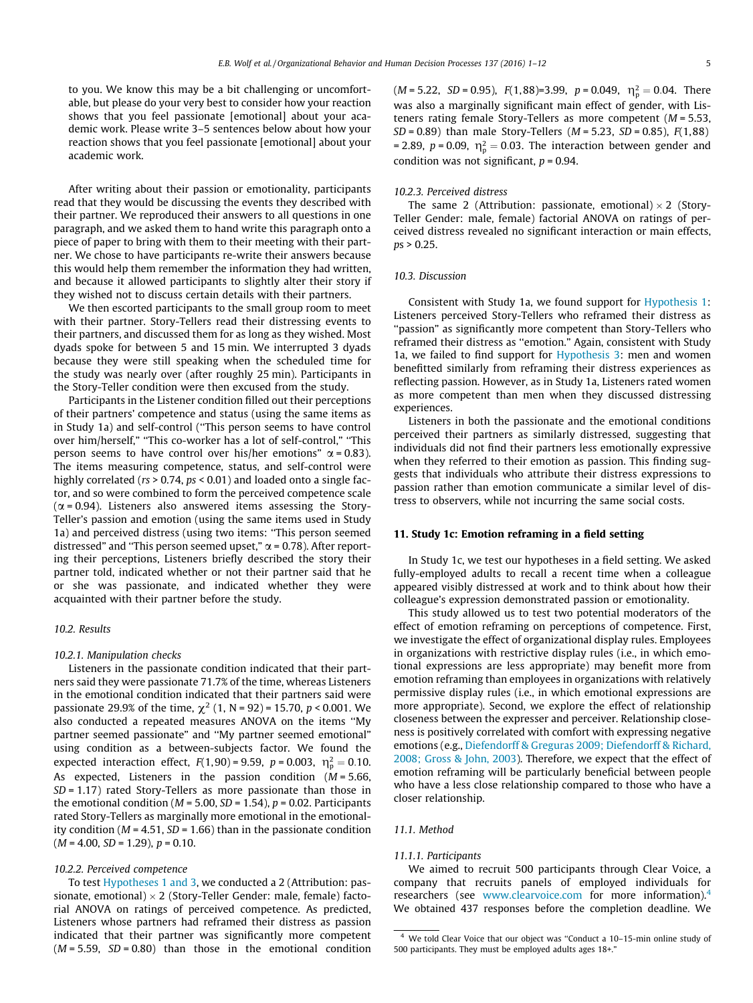to you. We know this may be a bit challenging or uncomfortable, but please do your very best to consider how your reaction shows that you feel passionate [emotional] about your academic work. Please write 3–5 sentences below about how your reaction shows that you feel passionate [emotional] about your academic work.

After writing about their passion or emotionality, participants read that they would be discussing the events they described with their partner. We reproduced their answers to all questions in one paragraph, and we asked them to hand write this paragraph onto a piece of paper to bring with them to their meeting with their partner. We chose to have participants re-write their answers because this would help them remember the information they had written, and because it allowed participants to slightly alter their story if they wished not to discuss certain details with their partners.

We then escorted participants to the small group room to meet with their partner. Story-Tellers read their distressing events to their partners, and discussed them for as long as they wished. Most dyads spoke for between 5 and 15 min. We interrupted 3 dyads because they were still speaking when the scheduled time for the study was nearly over (after roughly 25 min). Participants in the Story-Teller condition were then excused from the study.

Participants in the Listener condition filled out their perceptions of their partners' competence and status (using the same items as in Study 1a) and self-control (''This person seems to have control over him/herself," ''This co-worker has a lot of self-control," ''This person seems to have control over his/her emotions"  $\alpha$  = 0.83). The items measuring competence, status, and self-control were highly correlated ( $rs > 0.74$ ,  $ps < 0.01$ ) and loaded onto a single factor, and so were combined to form the perceived competence scale  $(\alpha = 0.94)$ . Listeners also answered items assessing the Story-Teller's passion and emotion (using the same items used in Study 1a) and perceived distress (using two items: ''This person seemed distressed" and "This person seemed upset,"  $\alpha$  = 0.78). After reporting their perceptions, Listeners briefly described the story their partner told, indicated whether or not their partner said that he or she was passionate, and indicated whether they were acquainted with their partner before the study.

## 10.2. Results

## 10.2.1. Manipulation checks

Listeners in the passionate condition indicated that their partners said they were passionate 71.7% of the time, whereas Listeners in the emotional condition indicated that their partners said were passionate 29.9% of the time,  $\chi^2$  (1, N = 92) = 15.70, p < 0.001. We also conducted a repeated measures ANOVA on the items ''My partner seemed passionate" and ''My partner seemed emotional" using condition as a between-subjects factor. We found the expected interaction effect,  $F(1,90) = 9.59$ ,  $p = 0.003$ ,  $\eta_p^2 = 0.10$ .<br>As expected Listeners in the passion condition (M = 5.66) As expected, Listeners in the passion condition  $(M = 5.66,$  $SD = 1.17$ ) rated Story-Tellers as more passionate than those in the emotional condition ( $M = 5.00$ ,  $SD = 1.54$ ),  $p = 0.02$ . Participants rated Story-Tellers as marginally more emotional in the emotionality condition ( $M = 4.51$ ,  $SD = 1.66$ ) than in the passionate condition  $(M = 4.00, SD = 1.29), p = 0.10.$ 

# 10.2.2. Perceived competence

To test [Hypotheses 1 and 3](#page-2-0), we conducted a 2 (Attribution: passionate, emotional)  $\times$  2 (Story-Teller Gender: male, female) factorial ANOVA on ratings of perceived competence. As predicted, Listeners whose partners had reframed their distress as passion indicated that their partner was significantly more competent  $(M = 5.59, SD = 0.80)$  than those in the emotional condition

 $(M = 5.22, SD = 0.95), F(1,88)=3.99, p = 0.049, \eta_p^2 = 0.04$ . There was also a marginally significant main effect of gender with Liswas also a marginally significant main effect of gender, with Listeners rating female Story-Tellers as more competent ( $M = 5.53$ ,  $SD = 0.89$ ) than male Story-Tellers ( $M = 5.23$ ,  $SD = 0.85$ ),  $F(1,88)$ = 2.89,  $p = 0.09$ ,  $\eta_p^2 = 0.03$ . The interaction between gender and condition was not significant  $n = 0.94$ condition was not significant,  $p = 0.94$ .

#### 10.2.3. Perceived distress

The same 2 (Attribution: passionate, emotional)  $\times$  2 (Story-Teller Gender: male, female) factorial ANOVA on ratings of perceived distress revealed no significant interaction or main effects,  $ns > 0.25$ .

# 10.3. Discussion

Consistent with Study 1a, we found support for [Hypothesis 1:](#page-2-0) Listeners perceived Story-Tellers who reframed their distress as "passion" as significantly more competent than Story-Tellers who reframed their distress as ''emotion." Again, consistent with Study 1a, we failed to find support for [Hypothesis 3:](#page-2-0) men and women benefitted similarly from reframing their distress experiences as reflecting passion. However, as in Study 1a, Listeners rated women as more competent than men when they discussed distressing experiences.

Listeners in both the passionate and the emotional conditions perceived their partners as similarly distressed, suggesting that individuals did not find their partners less emotionally expressive when they referred to their emotion as passion. This finding suggests that individuals who attribute their distress expressions to passion rather than emotion communicate a similar level of distress to observers, while not incurring the same social costs.

## 11. Study 1c: Emotion reframing in a field setting

In Study 1c, we test our hypotheses in a field setting. We asked fully-employed adults to recall a recent time when a colleague appeared visibly distressed at work and to think about how their colleague's expression demonstrated passion or emotionality.

This study allowed us to test two potential moderators of the effect of emotion reframing on perceptions of competence. First, we investigate the effect of organizational display rules. Employees in organizations with restrictive display rules (i.e., in which emotional expressions are less appropriate) may benefit more from emotion reframing than employees in organizations with relatively permissive display rules (i.e., in which emotional expressions are more appropriate). Second, we explore the effect of relationship closeness between the expresser and perceiver. Relationship closeness is positively correlated with comfort with expressing negative emotions (e.g., [Diefendorff & Greguras 2009; Diefendorff & Richard,](#page-10-0) [2008; Gross & John, 2003\)](#page-10-0). Therefore, we expect that the effect of emotion reframing will be particularly beneficial between people who have a less close relationship compared to those who have a closer relationship.

# 11.1. Method

## 11.1.1. Participants

We aimed to recruit 500 participants through Clear Voice, a company that recruits panels of employed individuals for researchers (see [www.clearvoice.com](http://www.clearvoice.com) for more information).<sup>4</sup> We obtained 437 responses before the completion deadline. We

<sup>4</sup> We told Clear Voice that our object was ''Conduct a 10–15-min online study of 500 participants. They must be employed adults ages 18+."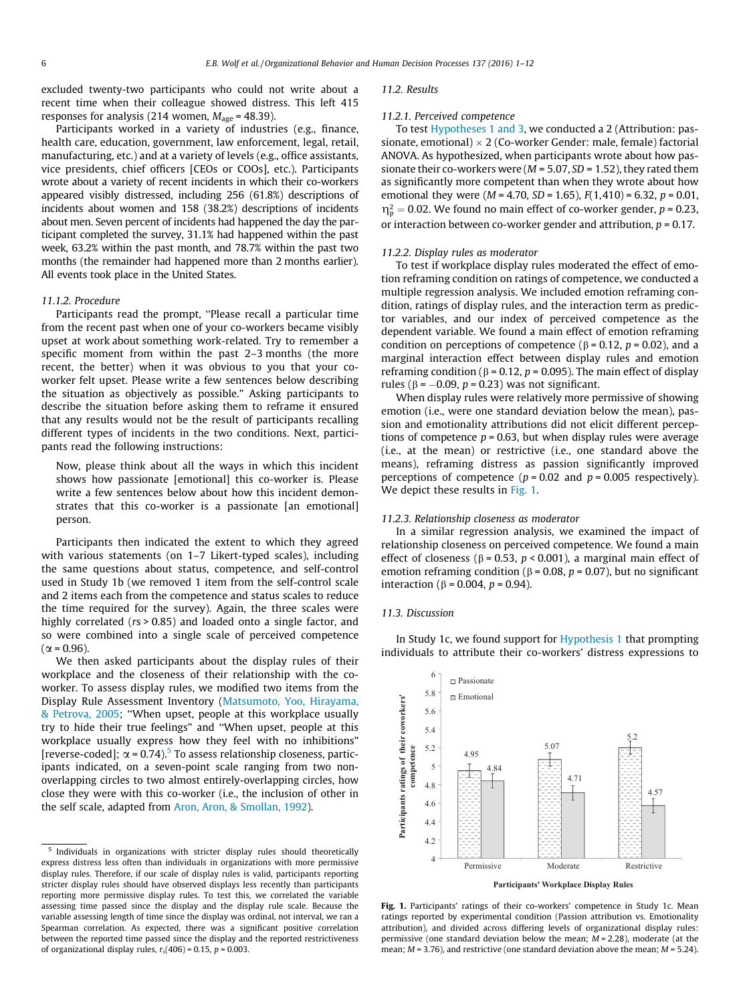excluded twenty-two participants who could not write about a recent time when their colleague showed distress. This left 415 responses for analysis (214 women,  $M_{\text{age}}$  = 48.39).

Participants worked in a variety of industries (e.g., finance, health care, education, government, law enforcement, legal, retail, manufacturing, etc.) and at a variety of levels (e.g., office assistants, vice presidents, chief officers [CEOs or COOs], etc.). Participants wrote about a variety of recent incidents in which their co-workers appeared visibly distressed, including 256 (61.8%) descriptions of incidents about women and 158 (38.2%) descriptions of incidents about men. Seven percent of incidents had happened the day the participant completed the survey, 31.1% had happened within the past week, 63.2% within the past month, and 78.7% within the past two months (the remainder had happened more than 2 months earlier). All events took place in the United States.

#### 11.1.2. Procedure

Participants read the prompt, "Please recall a particular time from the recent past when one of your co-workers became visibly upset at work about something work-related. Try to remember a specific moment from within the past 2–3 months (the more recent, the better) when it was obvious to you that your coworker felt upset. Please write a few sentences below describing the situation as objectively as possible." Asking participants to describe the situation before asking them to reframe it ensured that any results would not be the result of participants recalling different types of incidents in the two conditions. Next, participants read the following instructions:

Now, please think about all the ways in which this incident shows how passionate [emotional] this co-worker is. Please write a few sentences below about how this incident demonstrates that this co-worker is a passionate [an emotional] person.

Participants then indicated the extent to which they agreed with various statements (on 1–7 Likert-typed scales), including the same questions about status, competence, and self-control used in Study 1b (we removed 1 item from the self-control scale and 2 items each from the competence and status scales to reduce the time required for the survey). Again, the three scales were highly correlated ( $rs > 0.85$ ) and loaded onto a single factor, and so were combined into a single scale of perceived competence  $(\alpha = 0.96)$ .

We then asked participants about the display rules of their workplace and the closeness of their relationship with the coworker. To assess display rules, we modified two items from the Display Rule Assessment Inventory [\(Matsumoto, Yoo, Hirayama,](#page-11-0) [& Petrova, 2005;](#page-11-0) ''When upset, people at this workplace usually try to hide their true feelings" and ''When upset, people at this workplace usually express how they feel with no inhibitions" [reverse-coded];  $\alpha$  = 0.74).<sup>5</sup> To assess relationship closeness, participants indicated, on a seven-point scale ranging from two nonoverlapping circles to two almost entirely-overlapping circles, how close they were with this co-worker (i.e., the inclusion of other in the self scale, adapted from [Aron, Aron, & Smollan, 1992](#page-10-0)).

#### 11.2. Results

#### 11.2.1. Perceived competence

To test [Hypotheses 1 and 3,](#page-2-0) we conducted a 2 (Attribution: passionate, emotional)  $\times$  2 (Co-worker Gender: male, female) factorial ANOVA. As hypothesized, when participants wrote about how passionate their co-workers were ( $M = 5.07$ ,  $SD = 1.52$ ), they rated them as significantly more competent than when they wrote about how emotional they were ( $M = 4.70$ ,  $SD = 1.65$ ),  $F(1,410) = 6.32$ ,  $p = 0.01$ ,  $\eta_p^2 = 0.02$ . We found no main effect of co-worker gender,  $p = 0.23$ , or interaction between co-worker gender and attribution  $n = 0.17$ or interaction between co-worker gender and attribution,  $p = 0.17$ .

#### 11.2.2. Display rules as moderator

To test if workplace display rules moderated the effect of emotion reframing condition on ratings of competence, we conducted a multiple regression analysis. We included emotion reframing condition, ratings of display rules, and the interaction term as predictor variables, and our index of perceived competence as the dependent variable. We found a main effect of emotion reframing condition on perceptions of competence ( $\beta$  = 0.12,  $p$  = 0.02), and a marginal interaction effect between display rules and emotion reframing condition ( $\beta$  = 0.12, p = 0.095). The main effect of display rules ( $\beta$  = -0.09, p = 0.23) was not significant.

When display rules were relatively more permissive of showing emotion (i.e., were one standard deviation below the mean), passion and emotionality attributions did not elicit different perceptions of competence  $p = 0.63$ , but when display rules were average (i.e., at the mean) or restrictive (i.e., one standard above the means), reframing distress as passion significantly improved perceptions of competence ( $p = 0.02$  and  $p = 0.005$  respectively). We depict these results in Fig. 1.

## 11.2.3. Relationship closeness as moderator

In a similar regression analysis, we examined the impact of relationship closeness on perceived competence. We found a main effect of closeness ( $\beta$  = 0.53,  $p < 0.001$ ), a marginal main effect of emotion reframing condition ( $\beta$  = 0.08,  $p$  = 0.07), but no significant interaction ( $\beta$  = 0.004,  $p$  = 0.94).

#### 11.3. Discussion

In Study 1c, we found support for [Hypothesis 1](#page-2-0) that prompting individuals to attribute their co-workers' distress expressions to



**Participants' Workplace Display Rules**

Fig. 1. Participants' ratings of their co-workers' competence in Study 1c. Mean ratings reported by experimental condition (Passion attribution vs. Emotionality attribution), and divided across differing levels of organizational display rules: permissive (one standard deviation below the mean;  $M = 2.28$ ), moderate (at the mean;  $M = 3.76$ ), and restrictive (one standard deviation above the mean;  $M = 5.24$ ).

<sup>&</sup>lt;sup>5</sup> Individuals in organizations with stricter display rules should theoretically express distress less often than individuals in organizations with more permissive display rules. Therefore, if our scale of display rules is valid, participants reporting stricter display rules should have observed displays less recently than participants reporting more permissive display rules. To test this, we correlated the variable assessing time passed since the display and the display rule scale. Because the variable assessing length of time since the display was ordinal, not interval, we ran a Spearman correlation. As expected, there was a significant positive correlation between the reported time passed since the display and the reported restrictiveness of organizational display rules,  $r_s(406) = 0.15$ ,  $p = 0.003$ .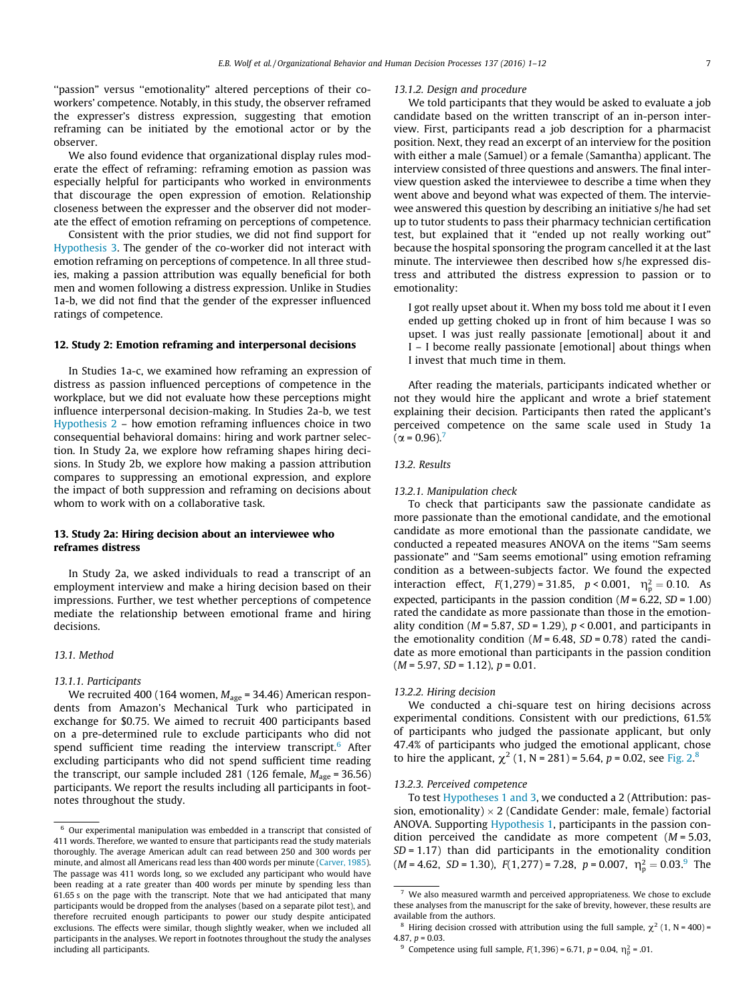''passion" versus ''emotionality" altered perceptions of their coworkers' competence. Notably, in this study, the observer reframed the expresser's distress expression, suggesting that emotion reframing can be initiated by the emotional actor or by the observer.

We also found evidence that organizational display rules moderate the effect of reframing: reframing emotion as passion was especially helpful for participants who worked in environments that discourage the open expression of emotion. Relationship closeness between the expresser and the observer did not moderate the effect of emotion reframing on perceptions of competence.

Consistent with the prior studies, we did not find support for [Hypothesis 3.](#page-2-0) The gender of the co-worker did not interact with emotion reframing on perceptions of competence. In all three studies, making a passion attribution was equally beneficial for both men and women following a distress expression. Unlike in Studies 1a-b, we did not find that the gender of the expresser influenced ratings of competence.

## 12. Study 2: Emotion reframing and interpersonal decisions

In Studies 1a-c, we examined how reframing an expression of distress as passion influenced perceptions of competence in the workplace, but we did not evaluate how these perceptions might influence interpersonal decision-making. In Studies 2a-b, we test [Hypothesis 2](#page-2-0) – how emotion reframing influences choice in two consequential behavioral domains: hiring and work partner selection. In Study 2a, we explore how reframing shapes hiring decisions. In Study 2b, we explore how making a passion attribution compares to suppressing an emotional expression, and explore the impact of both suppression and reframing on decisions about whom to work with on a collaborative task.

# 13. Study 2a: Hiring decision about an interviewee who reframes distress

In Study 2a, we asked individuals to read a transcript of an employment interview and make a hiring decision based on their impressions. Further, we test whether perceptions of competence mediate the relationship between emotional frame and hiring decisions.

# 13.1. Method

## 13.1.1. Participants

We recruited 400 (164 women,  $M_{\text{age}}$  = 34.46) American respondents from Amazon's Mechanical Turk who participated in exchange for \$0.75. We aimed to recruit 400 participants based on a pre-determined rule to exclude participants who did not spend sufficient time reading the interview transcript.<sup>6</sup> After excluding participants who did not spend sufficient time reading the transcript, our sample included 281 (126 female,  $M_{\text{age}} = 36.56$ ) participants. We report the results including all participants in footnotes throughout the study.

#### 13.1.2. Design and procedure

We told participants that they would be asked to evaluate a job candidate based on the written transcript of an in-person interview. First, participants read a job description for a pharmacist position. Next, they read an excerpt of an interview for the position with either a male (Samuel) or a female (Samantha) applicant. The interview consisted of three questions and answers. The final interview question asked the interviewee to describe a time when they went above and beyond what was expected of them. The interviewee answered this question by describing an initiative s/he had set up to tutor students to pass their pharmacy technician certification test, but explained that it ''ended up not really working out" because the hospital sponsoring the program cancelled it at the last minute. The interviewee then described how s/he expressed distress and attributed the distress expression to passion or to emotionality:

I got really upset about it. When my boss told me about it I even ended up getting choked up in front of him because I was so upset. I was just really passionate [emotional] about it and I – I become really passionate [emotional] about things when I invest that much time in them.

After reading the materials, participants indicated whether or not they would hire the applicant and wrote a brief statement explaining their decision. Participants then rated the applicant's perceived competence on the same scale used in Study 1a  $(\alpha = 0.96)^7$ 

#### 13.2. Results

## 13.2.1. Manipulation check

To check that participants saw the passionate candidate as more passionate than the emotional candidate, and the emotional candidate as more emotional than the passionate candidate, we conducted a repeated measures ANOVA on the items ''Sam seems passionate" and ''Sam seems emotional" using emotion reframing condition as a between-subjects factor. We found the expected interaction effect,  $F(1,279) = 31.85$ ,  $p < 0.001$ ,  $p_p^2 = 0.10$ . As<br>expected participants in the passion condition  $(M = 6.22 \text{ SD} = 1.00)$ expected, participants in the passion condition  $(M = 6.22, SD = 1.00)$ rated the candidate as more passionate than those in the emotionality condition ( $M = 5.87$ ,  $SD = 1.29$ ),  $p < 0.001$ , and participants in the emotionality condition ( $M = 6.48$ ,  $SD = 0.78$ ) rated the candidate as more emotional than participants in the passion condition  $(M = 5.97, SD = 1.12), p = 0.01.$ 

#### 13.2.2. Hiring decision

We conducted a chi-square test on hiring decisions across experimental conditions. Consistent with our predictions, 61.5% of participants who judged the passionate applicant, but only 47.4% of participants who judged the emotional applicant, chose to hire the applicant,  $\chi^2$  (1, N = 281) = 5.64, p = 0.02, see [Fig. 2.](#page-7-0)<sup>8</sup>

#### 13.2.3. Perceived competence

To test [Hypotheses 1 and 3](#page-2-0), we conducted a 2 (Attribution: passion, emotionality)  $\times$  2 (Candidate Gender: male, female) factorial ANOVA. Supporting [Hypothesis 1,](#page-2-0) participants in the passion condition perceived the candidate as more competent  $(M = 5.03,$  $SD = 1.17$ ) than did participants in the emotionality condition  $(M = 4.62, SD = 1.30), F(1,277) = 7.28, p = 0.007, \eta_p^2 = 0.03$ .<sup>9</sup> The

<sup>6</sup> Our experimental manipulation was embedded in a transcript that consisted of 411 words. Therefore, we wanted to ensure that participants read the study materials thoroughly. The average American adult can read between 250 and 300 words per minute, and almost all Americans read less than 400 words per minute ([Carver, 1985\)](#page-10-0). The passage was 411 words long, so we excluded any participant who would have been reading at a rate greater than 400 words per minute by spending less than 61.65 s on the page with the transcript. Note that we had anticipated that many participants would be dropped from the analyses (based on a separate pilot test), and therefore recruited enough participants to power our study despite anticipated exclusions. The effects were similar, though slightly weaker, when we included all participants in the analyses. We report in footnotes throughout the study the analyses including all participants.

 $7$  We also measured warmth and perceived appropriateness. We chose to exclude these analyses from the manuscript for the sake of brevity, however, these results are available from the authors.

<sup>&</sup>lt;sup>8</sup> Hiring decision crossed with attribution using the full sample,  $\chi^2$  (1, N = 400) = 4.87,  $p = 0.03$ .

<sup>&</sup>lt;sup>9</sup> Competence using full sample,  $F(1, 396) = 6.71$ ,  $p = 0.04$ ,  $\eta_p^2 = .01$ .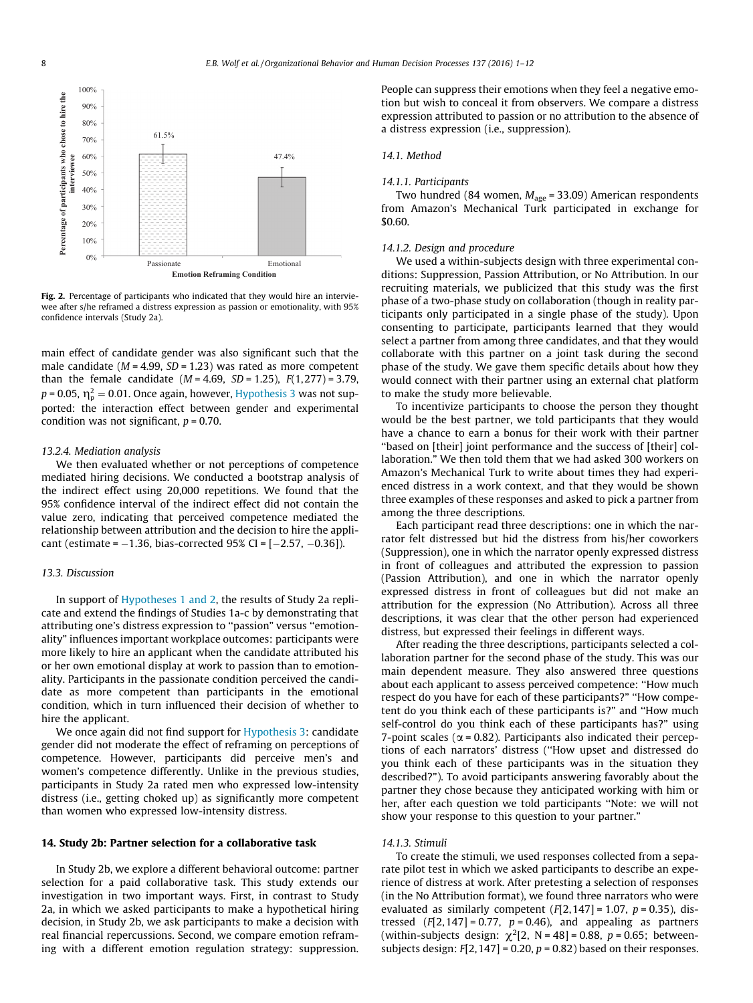<span id="page-7-0"></span>

Fig. 2. Percentage of participants who indicated that they would hire an interviewee after s/he reframed a distress expression as passion or emotionality, with 95% confidence intervals (Study 2a).

main effect of candidate gender was also significant such that the male candidate ( $M = 4.99$ ,  $SD = 1.23$ ) was rated as more competent than the female candidate  $(M = 4.69, SD = 1.25), F(1,277) = 3.79$ ,  $p = 0.05$ ,  $\eta_p^2 = 0.01$ . Once again, however, [Hypothesis 3](#page-2-0) was not sup-<br>ported: the interaction effect between gender and experimental ported: the interaction effect between gender and experimental condition was not significant,  $p = 0.70$ .

#### 13.2.4. Mediation analysis

We then evaluated whether or not perceptions of competence mediated hiring decisions. We conducted a bootstrap analysis of the indirect effect using 20,000 repetitions. We found that the 95% confidence interval of the indirect effect did not contain the value zero, indicating that perceived competence mediated the relationship between attribution and the decision to hire the applicant (estimate =  $-1.36$ , bias-corrected 95% CI =  $[-2.57, -0.36]$ ).

# 13.3. Discussion

In support of [Hypotheses 1 and 2,](#page-2-0) the results of Study 2a replicate and extend the findings of Studies 1a-c by demonstrating that attributing one's distress expression to ''passion" versus ''emotionality" influences important workplace outcomes: participants were more likely to hire an applicant when the candidate attributed his or her own emotional display at work to passion than to emotionality. Participants in the passionate condition perceived the candidate as more competent than participants in the emotional condition, which in turn influenced their decision of whether to hire the applicant.

We once again did not find support for [Hypothesis 3:](#page-2-0) candidate gender did not moderate the effect of reframing on perceptions of competence. However, participants did perceive men's and women's competence differently. Unlike in the previous studies, participants in Study 2a rated men who expressed low-intensity distress (i.e., getting choked up) as significantly more competent than women who expressed low-intensity distress.

#### 14. Study 2b: Partner selection for a collaborative task

In Study 2b, we explore a different behavioral outcome: partner selection for a paid collaborative task. This study extends our investigation in two important ways. First, in contrast to Study 2a, in which we asked participants to make a hypothetical hiring decision, in Study 2b, we ask participants to make a decision with real financial repercussions. Second, we compare emotion reframing with a different emotion regulation strategy: suppression.

People can suppress their emotions when they feel a negative emotion but wish to conceal it from observers. We compare a distress expression attributed to passion or no attribution to the absence of a distress expression (i.e., suppression).

# 14.1. Method

## 14.1.1. Participants

Two hundred (84 women,  $M_{\text{age}}$  = 33.09) American respondents from Amazon's Mechanical Turk participated in exchange for \$0.60.

## 14.1.2. Design and procedure

We used a within-subjects design with three experimental conditions: Suppression, Passion Attribution, or No Attribution. In our recruiting materials, we publicized that this study was the first phase of a two-phase study on collaboration (though in reality participants only participated in a single phase of the study). Upon consenting to participate, participants learned that they would select a partner from among three candidates, and that they would collaborate with this partner on a joint task during the second phase of the study. We gave them specific details about how they would connect with their partner using an external chat platform to make the study more believable.

To incentivize participants to choose the person they thought would be the best partner, we told participants that they would have a chance to earn a bonus for their work with their partner ''based on [their] joint performance and the success of [their] collaboration." We then told them that we had asked 300 workers on Amazon's Mechanical Turk to write about times they had experienced distress in a work context, and that they would be shown three examples of these responses and asked to pick a partner from among the three descriptions.

Each participant read three descriptions: one in which the narrator felt distressed but hid the distress from his/her coworkers (Suppression), one in which the narrator openly expressed distress in front of colleagues and attributed the expression to passion (Passion Attribution), and one in which the narrator openly expressed distress in front of colleagues but did not make an attribution for the expression (No Attribution). Across all three descriptions, it was clear that the other person had experienced distress, but expressed their feelings in different ways.

After reading the three descriptions, participants selected a collaboration partner for the second phase of the study. This was our main dependent measure. They also answered three questions about each applicant to assess perceived competence: ''How much respect do you have for each of these participants?" ''How competent do you think each of these participants is?" and ''How much self-control do you think each of these participants has?" using 7-point scales ( $\alpha$  = 0.82). Participants also indicated their perceptions of each narrators' distress (''How upset and distressed do you think each of these participants was in the situation they described?"). To avoid participants answering favorably about the partner they chose because they anticipated working with him or her, after each question we told participants ''Note: we will not show your response to this question to your partner."

#### 14.1.3. Stimuli

To create the stimuli, we used responses collected from a separate pilot test in which we asked participants to describe an experience of distress at work. After pretesting a selection of responses (in the No Attribution format), we found three narrators who were evaluated as similarly competent  $(F[2, 147] = 1.07, p = 0.35)$ , distressed  $(F[2, 147] = 0.77, p = 0.46)$ , and appealing as partners (within-subjects design:  $\chi^2$ [2, N = 48] = 0.88, p = 0.65; between-<br>subjects design: F[2,147] = 0.20, p = 0.82) based on their responses. subjects design:  $F[2,147] = 0.20$ ,  $p = 0.82$ ) based on their responses.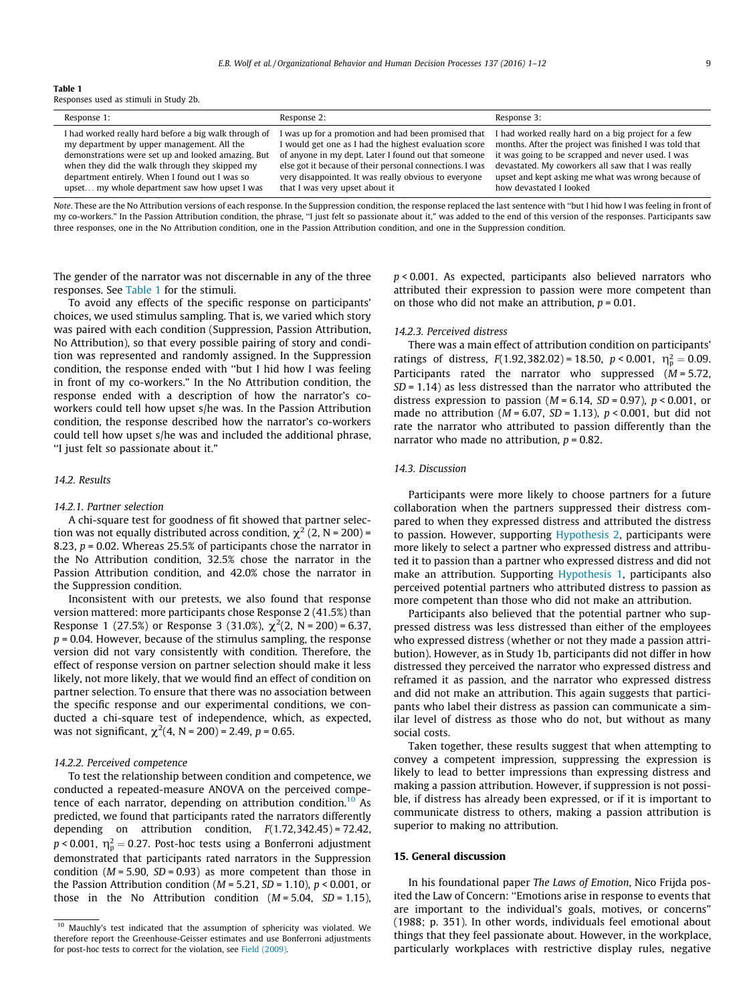| Table 1                                |  |  |  |
|----------------------------------------|--|--|--|
| Responses used as stimuli in Study 2b. |  |  |  |

| Response 1:                                                                                                                                                                                                                                                                                                    | Response 2:                                                                                                                                                                                                                                                                                                                | Response 3:                                                                                                                                                                                                                                                                                               |
|----------------------------------------------------------------------------------------------------------------------------------------------------------------------------------------------------------------------------------------------------------------------------------------------------------------|----------------------------------------------------------------------------------------------------------------------------------------------------------------------------------------------------------------------------------------------------------------------------------------------------------------------------|-----------------------------------------------------------------------------------------------------------------------------------------------------------------------------------------------------------------------------------------------------------------------------------------------------------|
| I had worked really hard before a big walk through of<br>my department by upper management. All the<br>demonstrations were set up and looked amazing. But<br>when they did the walk through they skipped my<br>department entirely. When I found out I was so<br>upset my whole department saw how upset I was | I was up for a promotion and had been promised that<br>I would get one as I had the highest evaluation score<br>of anyone in my dept. Later I found out that someone<br>else got it because of their personal connections. I was<br>very disappointed. It was really obvious to everyone<br>that I was very upset about it | I had worked really hard on a big project for a few<br>months. After the project was finished I was told that<br>it was going to be scrapped and never used. I was<br>devastated. My coworkers all saw that I was really<br>upset and kept asking me what was wrong because of<br>how devastated I looked |

Note. These are the No Attribution versions of each response. In the Suppression condition, the response replaced the last sentence with "but I hid how I was feeling in front of my co-workers." In the Passion Attribution condition, the phrase, ''I just felt so passionate about it," was added to the end of this version of the responses. Participants saw three responses, one in the No Attribution condition, one in the Passion Attribution condition, and one in the Suppression condition.

The gender of the narrator was not discernable in any of the three responses. See Table 1 for the stimuli.

To avoid any effects of the specific response on participants' choices, we used stimulus sampling. That is, we varied which story was paired with each condition (Suppression, Passion Attribution, No Attribution), so that every possible pairing of story and condition was represented and randomly assigned. In the Suppression condition, the response ended with ''but I hid how I was feeling in front of my co-workers." In the No Attribution condition, the response ended with a description of how the narrator's coworkers could tell how upset s/he was. In the Passion Attribution condition, the response described how the narrator's co-workers could tell how upset s/he was and included the additional phrase, ''I just felt so passionate about it."

#### 14.2. Results

#### 14.2.1. Partner selection

A chi-square test for goodness of fit showed that partner selection was not equally distributed across condition,  $\chi^2$  (2, N = 200) = 8.23,  $p = 0.02$ . Whereas 25.5% of participants chose the narrator in the No Attribution condition, 32.5% chose the narrator in the Passion Attribution condition, and 42.0% chose the narrator in the Suppression condition.

Inconsistent with our pretests, we also found that response version mattered: more participants chose Response 2 (41.5%) than Response 1 (27.5%) or Response 3 (31.0%),  $\chi^2$ (2, N = 200) = 6.37,  $p = 0.04$ . However, because of the stimulus sampling, the response  $p = 0.04$ . However, because of the stimulus sampling, the response version did not vary consistently with condition. Therefore, the effect of response version on partner selection should make it less likely, not more likely, that we would find an effect of condition on partner selection. To ensure that there was no association between the specific response and our experimental conditions, we conducted a chi-square test of independence, which, as expected, was not significant,  $\chi^2(4, N = 200) = 2.49$ ,  $p = 0.65$ .

#### 14.2.2. Perceived competence

To test the relationship between condition and competence, we conducted a repeated-measure ANOVA on the perceived competence of each narrator, depending on attribution condition.<sup>10</sup> As predicted, we found that participants rated the narrators differently depending on attribution condition,  $F(1.72,342.45) = 72.42$ ,  $p < 0.001$ ,  $\eta_p^2 = 0.27$ . Post-hoc tests using a Bonferroni adjustment<br>demonstrated that participants rated partators in the Suppression demonstrated that participants rated narrators in the Suppression condition  $(M = 5.90, SD = 0.93)$  as more competent than those in the Passion Attribution condition ( $M = 5.21$ ,  $SD = 1.10$ ),  $p < 0.001$ , or those in the No Attribution condition  $(M = 5.04, SD = 1.15)$ ,  $p < 0.001$ . As expected, participants also believed narrators who attributed their expression to passion were more competent than on those who did not make an attribution,  $p = 0.01$ .

#### 14.2.3. Perceived distress

There was a main effect of attribution condition on participants' ratings of distress,  $F(1.92,382.02) = 18.50$ ,  $p < 0.001$ ,  $\eta_p^2 = 0.09$ .<br>Participants, rated, the parrator who suppressed (M = 5.72) Participants rated the narrator who suppressed  $(M = 5.72)$ ,  $SD = 1.14$ ) as less distressed than the narrator who attributed the distress expression to passion  $(M = 6.14, SD = 0.97)$ ,  $p < 0.001$ , or made no attribution ( $M = 6.07$ ,  $SD = 1.13$ ),  $p < 0.001$ , but did not rate the narrator who attributed to passion differently than the narrator who made no attribution,  $p = 0.82$ .

# 14.3. Discussion

Participants were more likely to choose partners for a future collaboration when the partners suppressed their distress compared to when they expressed distress and attributed the distress to passion. However, supporting [Hypothesis 2](#page-2-0), participants were more likely to select a partner who expressed distress and attributed it to passion than a partner who expressed distress and did not make an attribution. Supporting [Hypothesis 1,](#page-2-0) participants also perceived potential partners who attributed distress to passion as more competent than those who did not make an attribution.

Participants also believed that the potential partner who suppressed distress was less distressed than either of the employees who expressed distress (whether or not they made a passion attribution). However, as in Study 1b, participants did not differ in how distressed they perceived the narrator who expressed distress and reframed it as passion, and the narrator who expressed distress and did not make an attribution. This again suggests that participants who label their distress as passion can communicate a similar level of distress as those who do not, but without as many social costs.

Taken together, these results suggest that when attempting to convey a competent impression, suppressing the expression is likely to lead to better impressions than expressing distress and making a passion attribution. However, if suppression is not possible, if distress has already been expressed, or if it is important to communicate distress to others, making a passion attribution is superior to making no attribution.

## 15. General discussion

In his foundational paper The Laws of Emotion, Nico Frijda posited the Law of Concern: ''Emotions arise in response to events that are important to the individual's goals, motives, or concerns" (1988; p. 351). In other words, individuals feel emotional about things that they feel passionate about. However, in the workplace, particularly workplaces with restrictive display rules, negative

 $10$  Mauchly's test indicated that the assumption of sphericity was violated. We therefore report the Greenhouse-Geisser estimates and use Bonferroni adjustments for post-hoc tests to correct for the violation, see [Field \(2009\).](#page-10-0)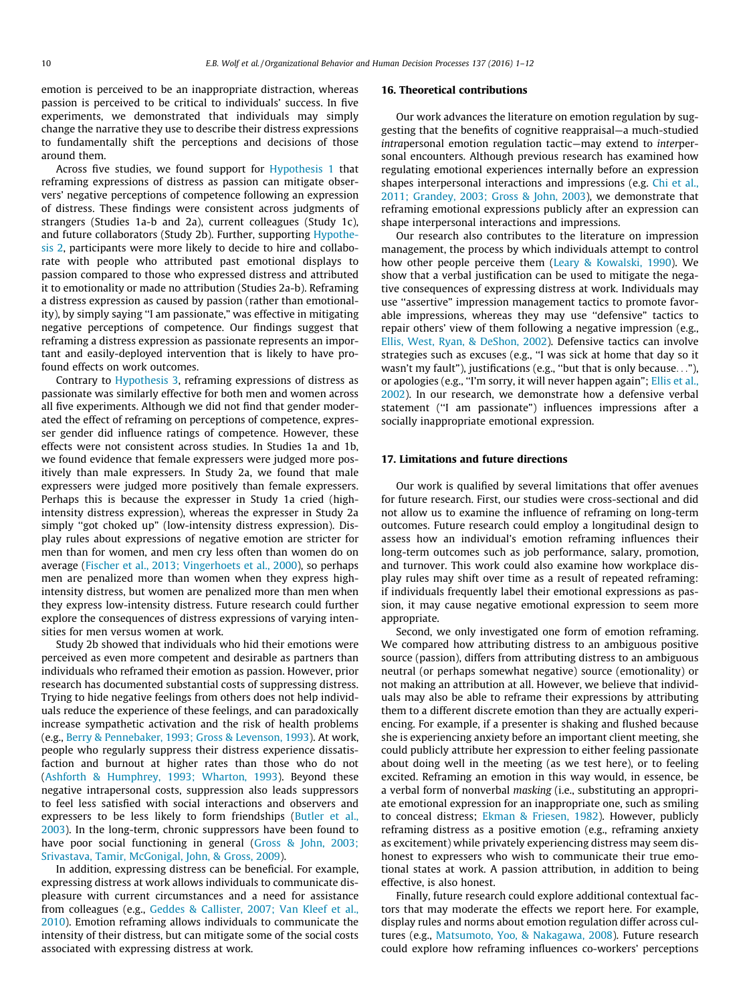emotion is perceived to be an inappropriate distraction, whereas passion is perceived to be critical to individuals' success. In five experiments, we demonstrated that individuals may simply change the narrative they use to describe their distress expressions to fundamentally shift the perceptions and decisions of those around them.

Across five studies, we found support for [Hypothesis 1](#page-2-0) that reframing expressions of distress as passion can mitigate observers' negative perceptions of competence following an expression of distress. These findings were consistent across judgments of strangers (Studies 1a-b and 2a), current colleagues (Study 1c), and future collaborators (Study 2b). Further, supporting [Hypothe](#page-2-0)[sis 2](#page-2-0), participants were more likely to decide to hire and collaborate with people who attributed past emotional displays to passion compared to those who expressed distress and attributed it to emotionality or made no attribution (Studies 2a-b). Reframing a distress expression as caused by passion (rather than emotionality), by simply saying ''I am passionate," was effective in mitigating negative perceptions of competence. Our findings suggest that reframing a distress expression as passionate represents an important and easily-deployed intervention that is likely to have profound effects on work outcomes.

Contrary to [Hypothesis 3](#page-2-0), reframing expressions of distress as passionate was similarly effective for both men and women across all five experiments. Although we did not find that gender moderated the effect of reframing on perceptions of competence, expresser gender did influence ratings of competence. However, these effects were not consistent across studies. In Studies 1a and 1b, we found evidence that female expressers were judged more positively than male expressers. In Study 2a, we found that male expressers were judged more positively than female expressers. Perhaps this is because the expresser in Study 1a cried (highintensity distress expression), whereas the expresser in Study 2a simply ''got choked up" (low-intensity distress expression). Display rules about expressions of negative emotion are stricter for men than for women, and men cry less often than women do on average ([Fischer et al., 2013; Vingerhoets et al., 2000](#page-10-0)), so perhaps men are penalized more than women when they express highintensity distress, but women are penalized more than men when they express low-intensity distress. Future research could further explore the consequences of distress expressions of varying intensities for men versus women at work.

Study 2b showed that individuals who hid their emotions were perceived as even more competent and desirable as partners than individuals who reframed their emotion as passion. However, prior research has documented substantial costs of suppressing distress. Trying to hide negative feelings from others does not help individuals reduce the experience of these feelings, and can paradoxically increase sympathetic activation and the risk of health problems (e.g., [Berry & Pennebaker, 1993; Gross & Levenson, 1993\)](#page-10-0). At work, people who regularly suppress their distress experience dissatisfaction and burnout at higher rates than those who do not ([Ashforth & Humphrey, 1993; Wharton, 1993\)](#page-10-0). Beyond these negative intrapersonal costs, suppression also leads suppressors to feel less satisfied with social interactions and observers and expressers to be less likely to form friendships [\(Butler et al.,](#page-10-0) [2003\)](#page-10-0). In the long-term, chronic suppressors have been found to have poor social functioning in general [\(Gross & John, 2003;](#page-10-0) [Srivastava, Tamir, McGonigal, John, & Gross, 2009\)](#page-10-0).

In addition, expressing distress can be beneficial. For example, expressing distress at work allows individuals to communicate displeasure with current circumstances and a need for assistance from colleagues (e.g., [Geddes & Callister, 2007; Van Kleef et al.,](#page-10-0) [2010\)](#page-10-0). Emotion reframing allows individuals to communicate the intensity of their distress, but can mitigate some of the social costs associated with expressing distress at work.

# 16. Theoretical contributions

Our work advances the literature on emotion regulation by suggesting that the benefits of cognitive reappraisal—a much-studied intrapersonal emotion regulation tactic—may extend to interpersonal encounters. Although previous research has examined how regulating emotional experiences internally before an expression shapes interpersonal interactions and impressions (e.g. [Chi et al.,](#page-10-0) [2011; Grandey, 2003; Gross & John, 2003\)](#page-10-0), we demonstrate that reframing emotional expressions publicly after an expression can shape interpersonal interactions and impressions.

Our research also contributes to the literature on impression management, the process by which individuals attempt to control how other people perceive them [\(Leary & Kowalski, 1990](#page-11-0)). We show that a verbal justification can be used to mitigate the negative consequences of expressing distress at work. Individuals may use ''assertive" impression management tactics to promote favorable impressions, whereas they may use ''defensive" tactics to repair others' view of them following a negative impression (e.g., [Ellis, West, Ryan, & DeShon, 2002\)](#page-10-0). Defensive tactics can involve strategies such as excuses (e.g., ''I was sick at home that day so it wasn't my fault"), justifications (e.g., ''but that is only because..."), or apologies (e.g., ''I'm sorry, it will never happen again"; [Ellis et al.,](#page-10-0) [2002\)](#page-10-0). In our research, we demonstrate how a defensive verbal statement (''I am passionate") influences impressions after a socially inappropriate emotional expression.

## 17. Limitations and future directions

Our work is qualified by several limitations that offer avenues for future research. First, our studies were cross-sectional and did not allow us to examine the influence of reframing on long-term outcomes. Future research could employ a longitudinal design to assess how an individual's emotion reframing influences their long-term outcomes such as job performance, salary, promotion, and turnover. This work could also examine how workplace display rules may shift over time as a result of repeated reframing: if individuals frequently label their emotional expressions as passion, it may cause negative emotional expression to seem more appropriate.

Second, we only investigated one form of emotion reframing. We compared how attributing distress to an ambiguous positive source (passion), differs from attributing distress to an ambiguous neutral (or perhaps somewhat negative) source (emotionality) or not making an attribution at all. However, we believe that individuals may also be able to reframe their expressions by attributing them to a different discrete emotion than they are actually experiencing. For example, if a presenter is shaking and flushed because she is experiencing anxiety before an important client meeting, she could publicly attribute her expression to either feeling passionate about doing well in the meeting (as we test here), or to feeling excited. Reframing an emotion in this way would, in essence, be a verbal form of nonverbal masking (i.e., substituting an appropriate emotional expression for an inappropriate one, such as smiling to conceal distress; [Ekman & Friesen, 1982](#page-10-0)). However, publicly reframing distress as a positive emotion (e.g., reframing anxiety as excitement) while privately experiencing distress may seem dishonest to expressers who wish to communicate their true emotional states at work. A passion attribution, in addition to being effective, is also honest.

Finally, future research could explore additional contextual factors that may moderate the effects we report here. For example, display rules and norms about emotion regulation differ across cultures (e.g., [Matsumoto, Yoo, & Nakagawa, 2008\)](#page-11-0). Future research could explore how reframing influences co-workers' perceptions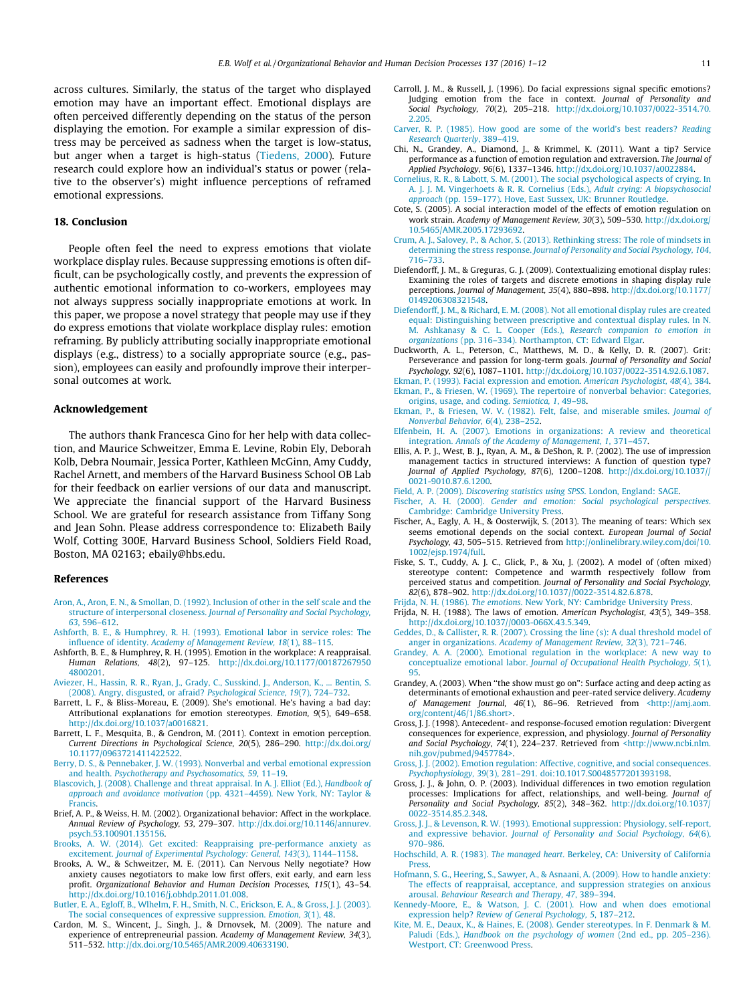<span id="page-10-0"></span>across cultures. Similarly, the status of the target who displayed emotion may have an important effect. Emotional displays are often perceived differently depending on the status of the person displaying the emotion. For example a similar expression of distress may be perceived as sadness when the target is low-status, but anger when a target is high-status ([Tiedens, 2000\)](#page-11-0). Future research could explore how an individual's status or power (relative to the observer's) might influence perceptions of reframed emotional expressions.

## 18. Conclusion

People often feel the need to express emotions that violate workplace display rules. Because suppressing emotions is often difficult, can be psychologically costly, and prevents the expression of authentic emotional information to co-workers, employees may not always suppress socially inappropriate emotions at work. In this paper, we propose a novel strategy that people may use if they do express emotions that violate workplace display rules: emotion reframing. By publicly attributing socially inappropriate emotional displays (e.g., distress) to a socially appropriate source (e.g., passion), employees can easily and profoundly improve their interpersonal outcomes at work.

#### Acknowledgement

The authors thank Francesca Gino for her help with data collection, and Maurice Schweitzer, Emma E. Levine, Robin Ely, Deborah Kolb, Debra Noumair, Jessica Porter, Kathleen McGinn, Amy Cuddy, Rachel Arnett, and members of the Harvard Business School OB Lab for their feedback on earlier versions of our data and manuscript. We appreciate the financial support of the Harvard Business School. We are grateful for research assistance from Tiffany Song and Jean Sohn. Please address correspondence to: Elizabeth Baily Wolf, Cotting 300E, Harvard Business School, Soldiers Field Road, Boston, MA 02163; ebaily@hbs.edu.

#### References

- [Aron, A., Aron, E. N., & Smollan, D. \(1992\). Inclusion of other in the self scale and the](http://refhub.elsevier.com/S0749-5978(16)30430-7/h0005) structure of interpersonal closeness. [Journal of Personality and Social Psychology,](http://refhub.elsevier.com/S0749-5978(16)30430-7/h0005) 63[, 596–612](http://refhub.elsevier.com/S0749-5978(16)30430-7/h0005).
- [Ashforth, B. E., & Humphrey, R. H. \(1993\). Emotional labor in service roles: The](http://refhub.elsevier.com/S0749-5978(16)30430-7/h0010) influence of identity. [Academy of Management Review, 18](http://refhub.elsevier.com/S0749-5978(16)30430-7/h0010)(1), 88–115.
- Ashforth, B. E., & Humphrey, R. H. (1995). Emotion in the workplace: A reappraisal. Human Relations, 48(2), 97–125. [http://dx.doi.org/10.1177/00187267950](http://dx.doi.org/10.1177/001872679504800201) [4800201](http://dx.doi.org/10.1177/001872679504800201).
- [Aviezer, H., Hassin, R. R., Ryan, J., Grady, C., Susskind, J., Anderson, K., ... Bentin, S.](http://refhub.elsevier.com/S0749-5978(16)30430-7/h0020) [\(2008\). Angry, disgusted, or afraid?](http://refhub.elsevier.com/S0749-5978(16)30430-7/h0020) Psychological Science, 19(7), 724–732.
- Barrett, L. F., & Bliss-Moreau, E. (2009). She's emotional. He's having a bad day: Attributional explanations for emotion stereotypes. Emotion, 9(5), 649–658. <http://dx.doi.org/10.1037/a0016821>.
- Barrett, L. F., Mesquita, B., & Gendron, M. (2011). Context in emotion perception. Current Directions in Psychological Science, 20(5), 286–290. [http://dx.doi.org/](http://dx.doi.org/10.1177/0963721411422522) [10.1177/0963721411422522](http://dx.doi.org/10.1177/0963721411422522).
- [Berry, D. S., & Pennebaker, J. W. \(1993\). Nonverbal and verbal emotional expression](http://refhub.elsevier.com/S0749-5978(16)30430-7/h0035) and health. [Psychotherapy and Psychosomatics, 59](http://refhub.elsevier.com/S0749-5978(16)30430-7/h0035), 11–19.
- [Blascovich, J. \(2008\). Challenge and threat appraisal. In A. J. Elliot \(Ed.\),](http://refhub.elsevier.com/S0749-5978(16)30430-7/h0040) Handbook of approach and avoidance motivation [\(pp. 4321–4459\). New York, NY: Taylor &](http://refhub.elsevier.com/S0749-5978(16)30430-7/h0040) [Francis.](http://refhub.elsevier.com/S0749-5978(16)30430-7/h0040)
- Brief, A. P., & Weiss, H. M. (2002). Organizational behavior: Affect in the workplace. Annual Review of Psychology, 53, 279–307. [http://dx.doi.org/10.1146/annurev.](http://dx.doi.org/10.1146/annurev.psych.53.100901.135156) [psych.53.100901.135156.](http://dx.doi.org/10.1146/annurev.psych.53.100901.135156)
- [Brooks, A. W. \(2014\). Get excited: Reappraising pre-performance anxiety as](http://refhub.elsevier.com/S0749-5978(16)30430-7/h0050) excitement. [Journal of Experimental Psychology: General, 143](http://refhub.elsevier.com/S0749-5978(16)30430-7/h0050)(3), 1144–1158.
- Brooks, A. W., & Schweitzer, M. E. (2011). Can Nervous Nelly negotiate? How anxiety causes negotiators to make low first offers, exit early, and earn less profit. Organizational Behavior and Human Decision Processes, 115(1), 43–54. [http://dx.doi.org/10.1016/j.obhdp.2011.01.008.](http://dx.doi.org/10.1016/j.obhdp.2011.01.008)
- [Butler, E. A., Egloff, B., Wlhelm, F. H., Smith, N. C., Erickson, E. A., & Gross, J. J. \(2003\).](http://refhub.elsevier.com/S0749-5978(16)30430-7/h0055) [The social consequences of expressive suppression.](http://refhub.elsevier.com/S0749-5978(16)30430-7/h0055) Emotion, 3(1), 48.
- Cardon, M. S., Wincent, J., Singh, J., & Drnovsek, M. (2009). The nature and experience of entrepreneurial passion. Academy of Management Review, 34(3), 511–532. [http://dx.doi.org/10.5465/AMR.2009.40633190.](http://dx.doi.org/10.5465/AMR.2009.40633190)
- Carroll, J. M., & Russell, J. (1996). Do facial expressions signal specific emotions? Judging emotion from the face in context. Journal of Personality and Social Psychology, 70(2), 205–218. [http://dx.doi.org/10.1037/0022-3514.70.](http://dx.doi.org/10.1037/0022-3514.70.2.205) [2.205](http://dx.doi.org/10.1037/0022-3514.70.2.205).
- [Carver, R. P. \(1985\). How good are some of the world's best readers?](http://refhub.elsevier.com/S0749-5978(16)30430-7/h0065) Reading [Research Quarterly](http://refhub.elsevier.com/S0749-5978(16)30430-7/h0065), 389–419.
- Chi, N., Grandey, A., Diamond, J., & Krimmel, K. (2011). Want a tip? Service performance as a function of emotion regulation and extraversion. The Journal of Applied Psychology, 96(6), 1337–1346. [http://dx.doi.org/10.1037/a0022884.](http://dx.doi.org/10.1037/a0022884)
- [Cornelius, R. R., & Labott, S. M. \(2001\). The social psychological aspects of crying. In](http://refhub.elsevier.com/S0749-5978(16)30430-7/h0085) [A. J. J. M. Vingerhoets & R. R. Cornelius \(Eds.\),](http://refhub.elsevier.com/S0749-5978(16)30430-7/h0085) Adult crying: A biopsychosocial approach [\(pp. 159–177\). Hove, East Sussex, UK: Brunner Routledge](http://refhub.elsevier.com/S0749-5978(16)30430-7/h0085).
- Cote, S. (2005). A social interaction model of the effects of emotion regulation on work strain. Academy of Management Review, 30(3), 509–530. [http://dx.doi.org/](http://dx.doi.org/10.5465/AMR.2005.17293692) [10.5465/AMR.2005.17293692](http://dx.doi.org/10.5465/AMR.2005.17293692).
- [Crum, A. J., Salovey, P., & Achor, S. \(2013\). Rethinking stress: The role of mindsets in](http://refhub.elsevier.com/S0749-5978(16)30430-7/h0095) determining the stress response. [Journal of Personality and Social Psychology, 104](http://refhub.elsevier.com/S0749-5978(16)30430-7/h0095), [716–733](http://refhub.elsevier.com/S0749-5978(16)30430-7/h0095).
- Diefendorff, J. M., & Greguras, G. J. (2009). Contextualizing emotional display rules: Examining the roles of targets and discrete emotions in shaping display rule perceptions. Journal of Management, 35(4), 880–898. [http://dx.doi.org/10.1177/](http://dx.doi.org/10.1177/0149206308321548) [0149206308321548](http://dx.doi.org/10.1177/0149206308321548).
- [Diefendorff, J. M., & Richard, E. M. \(2008\). Not all emotional display rules are created](http://refhub.elsevier.com/S0749-5978(16)30430-7/h0115) [equal: Distinguishing between prescriptive and contextual display rules. In N.](http://refhub.elsevier.com/S0749-5978(16)30430-7/h0115) [M. Ashkanasy & C. L. Cooper \(Eds.\),](http://refhub.elsevier.com/S0749-5978(16)30430-7/h0115) Research companion to emotion in organizations [\(pp. 316–334\). Northampton, CT: Edward Elgar](http://refhub.elsevier.com/S0749-5978(16)30430-7/h0115).
- Duckworth, A. L., Peterson, C., Matthews, M. D., & Kelly, D. R. (2007). Grit: Perseverance and passion for long-term goals. Journal of Personality and Social Psychology, 92(6), 1087–1101. <http://dx.doi.org/10.1037/0022-3514.92.6.1087>.

[Ekman, P. \(1993\). Facial expression and emotion.](http://refhub.elsevier.com/S0749-5978(16)30430-7/h9020) American Psychologist, 48(4), 384. [Ekman, P., & Friesen, W. \(1969\). The repertoire of nonverbal behavior: Categories,](http://refhub.elsevier.com/S0749-5978(16)30430-7/h0125) [origins, usage, and coding.](http://refhub.elsevier.com/S0749-5978(16)30430-7/h0125) Semiotica, 1, 49–98.

- [Ekman, P., & Friesen, W. V. \(1982\). Felt, false, and miserable smiles.](http://refhub.elsevier.com/S0749-5978(16)30430-7/h0130) Journal of [Nonverbal Behavior, 6](http://refhub.elsevier.com/S0749-5978(16)30430-7/h0130)(4), 238–252.
- [Elfenbein, H. A. \(2007\). Emotions in organizations: A review and theoretical](http://refhub.elsevier.com/S0749-5978(16)30430-7/h0140) integration. [Annals of the Academy of Management, 1](http://refhub.elsevier.com/S0749-5978(16)30430-7/h0140), 371–457.
- Ellis, A. P. J., West, B. J., Ryan, A. M., & DeShon, R. P. (2002). The use of impression management tactics in structured interviews: A function of question type? Journal of Applied Psychology, 87(6), 1200–1208. [http://dx.doi.org/10.1037//](http://dx.doi.org/10.1037//0021-9010.87.6.1200) [0021-9010.87.6.1200.](http://dx.doi.org/10.1037//0021-9010.87.6.1200)
- Field, A. P. (2009). [Discovering statistics using SPSS](http://refhub.elsevier.com/S0749-5978(16)30430-7/h0150). London, England: SAGE.
- Fischer, A. H. (2000). [Gender and emotion: Social psychological perspectives](http://refhub.elsevier.com/S0749-5978(16)30430-7/h0155). [Cambridge: Cambridge University Press](http://refhub.elsevier.com/S0749-5978(16)30430-7/h0155).
- Fischer, A., Eagly, A. H., & Oosterwijk, S. (2013). The meaning of tears: Which sex seems emotional depends on the social context. European Journal of Social Psychology, 43, 505–515. Retrieved from [http://onlinelibrary.wiley.com/doi/10.](http://onlinelibrary.wiley.com/doi/10.1002/ejsp.1974/full) [1002/ejsp.1974/full](http://onlinelibrary.wiley.com/doi/10.1002/ejsp.1974/full).
- Fiske, S. T., Cuddy, A. J. C., Glick, P., & Xu, J. (2002). A model of (often mixed) stereotype content: Competence and warmth respectively follow from perceived status and competition. Journal of Personality and Social Psychology, 82(6), 878–902. <http://dx.doi.org/10.1037//0022-3514.82.6.878>.
- Frijda, N. H. (1986). The emotions[. New York, NY: Cambridge University Press](http://refhub.elsevier.com/S0749-5978(16)30430-7/h0170).
- Frijda, N. H. (1988). The laws of emotion. American Psychologist, 43(5), 349–358. [http://dx.doi.org/10.1037//0003-066X.43.5.349.](http://dx.doi.org/10.1037//0003-066X.43.5.349)
- [Geddes, D., & Callister, R. R. \(2007\). Crossing the line \(s\): A dual threshold model of](http://refhub.elsevier.com/S0749-5978(16)30430-7/h0175) anger in organizations. [Academy of Management Review, 32](http://refhub.elsevier.com/S0749-5978(16)30430-7/h0175)(3), 721–746.
- [Grandey, A. A. \(2000\). Emotional regulation in the workplace: A new way to](http://refhub.elsevier.com/S0749-5978(16)30430-7/h0185) conceptualize emotional labor. [Journal of Occupational Health Psychology, 5](http://refhub.elsevier.com/S0749-5978(16)30430-7/h0185)(1), [95](http://refhub.elsevier.com/S0749-5978(16)30430-7/h0185).
- Grandey, A. (2003). When ''the show must go on": Surface acting and deep acting as determinants of emotional exhaustion and peer-rated service delivery. Academy of Management Journal, 46(1), 86-96. Retrieved from [<http://amj.aom.](http://amj.aom.org/content/46/1/86.short) [org/content/46/1/86.short>.](http://amj.aom.org/content/46/1/86.short)
- Gross, J. J. (1998). Antecedent- and response-focused emotion regulation: Divergent consequences for experience, expression, and physiology. Journal of Personality and Social Psychology, 74(1), 224–237. Retrieved from [<http://www.ncbi.nlm.](http://www.ncbi.nlm.nih.gov/pubmed/9457784) [nih.gov/pubmed/9457784>.](http://www.ncbi.nlm.nih.gov/pubmed/9457784)
- [Gross, J. J. \(2002\). Emotion regulation: Affective, cognitive, and social consequences.](http://refhub.elsevier.com/S0749-5978(16)30430-7/h0205) Psychophysiology, 39[\(3\), 281–291. doi:10.1017.S0048577201393198](http://refhub.elsevier.com/S0749-5978(16)30430-7/h0205).
- Gross, J. J., & John, O. P. (2003). Individual differences in two emotion regulation processes: Implications for affect, relationships, and well-being. Journal of Personality and Social Psychology, 85(2), 348–362. [http://dx.doi.org/10.1037/](http://dx.doi.org/10.1037/0022-3514.85.2.348) [0022-3514.85.2.348](http://dx.doi.org/10.1037/0022-3514.85.2.348).
- [Gross, J. J., & Levenson, R. W. \(1993\). Emotional suppression: Physiology, self-report,](http://refhub.elsevier.com/S0749-5978(16)30430-7/h0215) and expressive behavior. [Journal of Personality and Social Psychology, 64](http://refhub.elsevier.com/S0749-5978(16)30430-7/h0215)(6), [970–986](http://refhub.elsevier.com/S0749-5978(16)30430-7/h0215).
- Hochschild, A. R. (1983). The managed heart[. Berkeley, CA: University of California](http://refhub.elsevier.com/S0749-5978(16)30430-7/h0220) [Press](http://refhub.elsevier.com/S0749-5978(16)30430-7/h0220).
- [Hofmann, S. G., Heering, S., Sawyer, A., & Asnaani, A. \(2009\). How to handle anxiety:](http://refhub.elsevier.com/S0749-5978(16)30430-7/h0225) [The effects of reappraisal, acceptance, and suppression strategies on anxious](http://refhub.elsevier.com/S0749-5978(16)30430-7/h0225) arousal. [Behaviour Research and Therapy, 47](http://refhub.elsevier.com/S0749-5978(16)30430-7/h0225), 389–394.
- [Kennedy-Moore, E., & Watson, J. C. \(2001\). How and when does emotional](http://refhub.elsevier.com/S0749-5978(16)30430-7/h0230) expression help? [Review of General Psychology, 5](http://refhub.elsevier.com/S0749-5978(16)30430-7/h0230), 187–212.
- [Kite, M. E., Deaux, K., & Haines, E. \(2008\). Gender stereotypes. In F. Denmark & M.](http://refhub.elsevier.com/S0749-5978(16)30430-7/h0235) Paludi (Eds.), [Handbook on the psychology of women](http://refhub.elsevier.com/S0749-5978(16)30430-7/h0235) (2nd ed., pp. 205–236). [Westport, CT: Greenwood Press](http://refhub.elsevier.com/S0749-5978(16)30430-7/h0235).